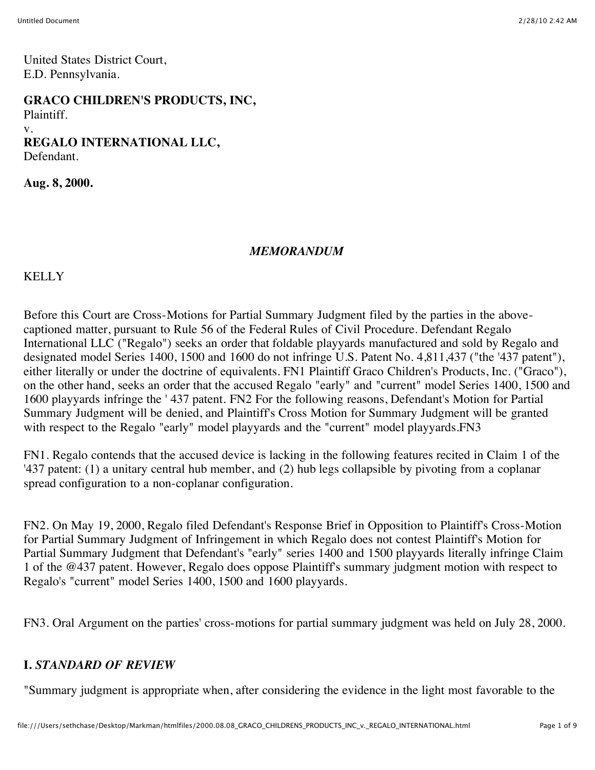United States District Court, E.D. Pennsylvania.

**GRACO CHILDREN'S PRODUCTS, INC,** Plaintiff. v. **REGALO INTERNATIONAL LLC,** Defendant.

**Aug. 8, 2000.**

#### *MEMORANDUM*

KELLY

Before this Court are Cross-Motions for Partial Summary Judgment filed by the parties in the abovecaptioned matter, pursuant to Rule 56 of the Federal Rules of Civil Procedure. Defendant Regalo International LLC ("Regalo") seeks an order that foldable playyards manufactured and sold by Regalo and designated model Series 1400, 1500 and 1600 do not infringe U.S. Patent No. 4,811,437 ("the '437 patent"), either literally or under the doctrine of equivalents. FN1 Plaintiff Graco Children's Products, Inc. ("Graco"), on the other hand, seeks an order that the accused Regalo "early" and "current" model Series 1400, 1500 and 1600 playyards infringe the ' 437 patent. FN2 For the following reasons, Defendant's Motion for Partial Summary Judgment will be denied, and Plaintiff's Cross Motion for Summary Judgment will be granted with respect to the Regalo "early" model playyards and the "current" model playyards. FN3

FN1. Regalo contends that the accused device is lacking in the following features recited in Claim 1 of the '437 patent: (1) a unitary central hub member, and (2) hub legs collapsible by pivoting from a coplanar spread configuration to a non-coplanar configuration.

FN2. On May 19, 2000, Regalo filed Defendant's Response Brief in Opposition to Plaintiff's Cross-Motion for Partial Summary Judgment of Infringement in which Regalo does not contest Plaintiff's Motion for Partial Summary Judgment that Defendant's "early" series 1400 and 1500 playyards literally infringe Claim 1 of the @437 patent. However, Regalo does oppose Plaintiff's summary judgment motion with respect to Regalo's "current" model Series 1400, 1500 and 1600 playyards.

FN3. Oral Argument on the parties' cross-motions for partial summary judgment was held on July 28, 2000.

### **I.** *STANDARD OF REVIEW*

"Summary judgment is appropriate when, after considering the evidence in the light most favorable to the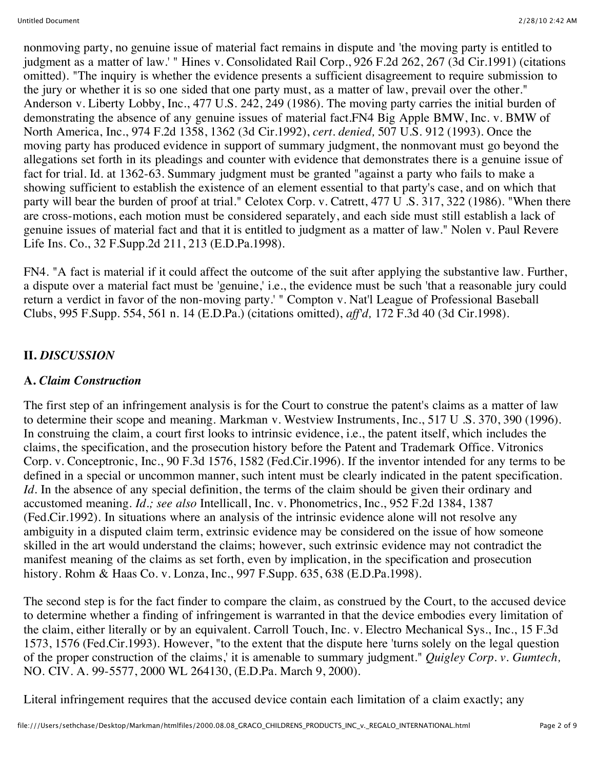nonmoving party, no genuine issue of material fact remains in dispute and 'the moving party is entitled to judgment as a matter of law.' " Hines v. Consolidated Rail Corp., 926 F.2d 262, 267 (3d Cir.1991) (citations omitted). "The inquiry is whether the evidence presents a sufficient disagreement to require submission to the jury or whether it is so one sided that one party must, as a matter of law, prevail over the other." Anderson v. Liberty Lobby, Inc., 477 U.S. 242, 249 (1986). The moving party carries the initial burden of demonstrating the absence of any genuine issues of material fact.FN4 Big Apple BMW, Inc. v. BMW of North America, Inc., 974 F.2d 1358, 1362 (3d Cir.1992), *cert. denied,* 507 U.S. 912 (1993). Once the moving party has produced evidence in support of summary judgment, the nonmovant must go beyond the allegations set forth in its pleadings and counter with evidence that demonstrates there is a genuine issue of fact for trial. Id. at 1362-63. Summary judgment must be granted "against a party who fails to make a showing sufficient to establish the existence of an element essential to that party's case, and on which that party will bear the burden of proof at trial." Celotex Corp. v. Catrett, 477 U .S. 317, 322 (1986). "When there are cross-motions, each motion must be considered separately, and each side must still establish a lack of genuine issues of material fact and that it is entitled to judgment as a matter of law." Nolen v. Paul Revere Life Ins. Co., 32 F.Supp.2d 211, 213 (E.D.Pa.1998).

FN4. "A fact is material if it could affect the outcome of the suit after applying the substantive law. Further, a dispute over a material fact must be 'genuine,' i.e., the evidence must be such 'that a reasonable jury could return a verdict in favor of the non-moving party.' " Compton v. Nat'l League of Professional Baseball Clubs, 995 F.Supp. 554, 561 n. 14 (E.D.Pa.) (citations omitted), *aff'd,* 172 F.3d 40 (3d Cir.1998).

### **II.** *DISCUSSION*

### **A.** *Claim Construction*

The first step of an infringement analysis is for the Court to construe the patent's claims as a matter of law to determine their scope and meaning. Markman v. Westview Instruments, Inc., 517 U .S. 370, 390 (1996). In construing the claim, a court first looks to intrinsic evidence, i.e., the patent itself, which includes the claims, the specification, and the prosecution history before the Patent and Trademark Office. Vitronics Corp. v. Conceptronic, Inc., 90 F.3d 1576, 1582 (Fed.Cir.1996). If the inventor intended for any terms to be defined in a special or uncommon manner, such intent must be clearly indicated in the patent specification. *Id.* In the absence of any special definition, the terms of the claim should be given their ordinary and accustomed meaning. *Id.; see also* Intellicall, Inc. v. Phonometrics, Inc., 952 F.2d 1384, 1387 (Fed.Cir.1992). In situations where an analysis of the intrinsic evidence alone will not resolve any ambiguity in a disputed claim term, extrinsic evidence may be considered on the issue of how someone skilled in the art would understand the claims; however, such extrinsic evidence may not contradict the manifest meaning of the claims as set forth, even by implication, in the specification and prosecution history. Rohm & Haas Co. v. Lonza, Inc., 997 F.Supp. 635, 638 (E.D.Pa.1998).

The second step is for the fact finder to compare the claim, as construed by the Court, to the accused device to determine whether a finding of infringement is warranted in that the device embodies every limitation of the claim, either literally or by an equivalent. Carroll Touch, Inc. v. Electro Mechanical Sys., Inc., 15 F.3d 1573, 1576 (Fed.Cir.1993). However, "to the extent that the dispute here 'turns solely on the legal question of the proper construction of the claims,' it is amenable to summary judgment." *Quigley Corp. v. Gumtech,* NO. CIV. A. 99-5577, 2000 WL 264130, (E.D.Pa. March 9, 2000).

Literal infringement requires that the accused device contain each limitation of a claim exactly; any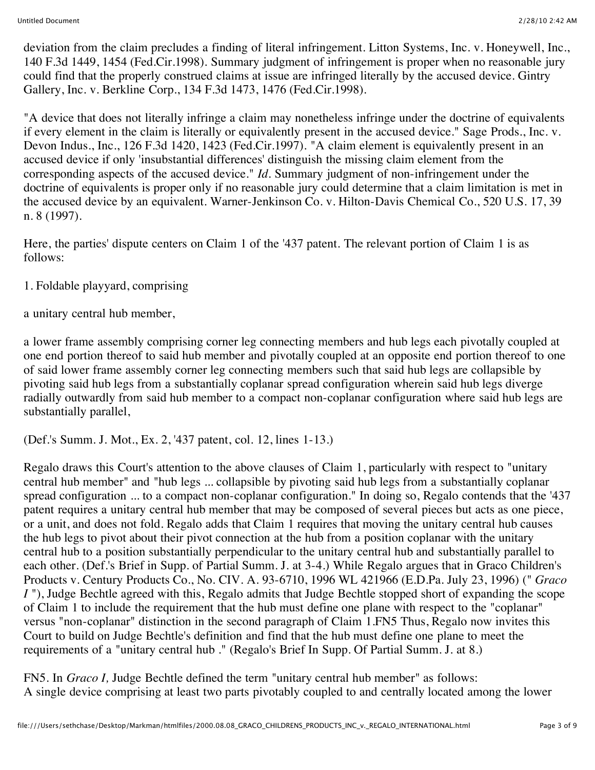deviation from the claim precludes a finding of literal infringement. Litton Systems, Inc. v. Honeywell, Inc., 140 F.3d 1449, 1454 (Fed.Cir.1998). Summary judgment of infringement is proper when no reasonable jury could find that the properly construed claims at issue are infringed literally by the accused device. Gintry Gallery, Inc. v. Berkline Corp., 134 F.3d 1473, 1476 (Fed.Cir.1998).

"A device that does not literally infringe a claim may nonetheless infringe under the doctrine of equivalents if every element in the claim is literally or equivalently present in the accused device." Sage Prods., Inc. v. Devon Indus., Inc., 126 F.3d 1420, 1423 (Fed.Cir.1997). "A claim element is equivalently present in an accused device if only 'insubstantial differences' distinguish the missing claim element from the corresponding aspects of the accused device." *Id.* Summary judgment of non-infringement under the doctrine of equivalents is proper only if no reasonable jury could determine that a claim limitation is met in the accused device by an equivalent. Warner-Jenkinson Co. v. Hilton-Davis Chemical Co., 520 U.S. 17, 39 n. 8 (1997).

Here, the parties' dispute centers on Claim 1 of the '437 patent. The relevant portion of Claim 1 is as follows:

1. Foldable playyard, comprising

a unitary central hub member,

a lower frame assembly comprising corner leg connecting members and hub legs each pivotally coupled at one end portion thereof to said hub member and pivotally coupled at an opposite end portion thereof to one of said lower frame assembly corner leg connecting members such that said hub legs are collapsible by pivoting said hub legs from a substantially coplanar spread configuration wherein said hub legs diverge radially outwardly from said hub member to a compact non-coplanar configuration where said hub legs are substantially parallel,

(Def.'s Summ. J. Mot., Ex. 2, '437 patent, col. 12, lines 1-13.)

Regalo draws this Court's attention to the above clauses of Claim 1, particularly with respect to "unitary central hub member" and "hub legs ... collapsible by pivoting said hub legs from a substantially coplanar spread configuration ... to a compact non-coplanar configuration." In doing so, Regalo contends that the '437 patent requires a unitary central hub member that may be composed of several pieces but acts as one piece, or a unit, and does not fold. Regalo adds that Claim 1 requires that moving the unitary central hub causes the hub legs to pivot about their pivot connection at the hub from a position coplanar with the unitary central hub to a position substantially perpendicular to the unitary central hub and substantially parallel to each other. (Def.'s Brief in Supp. of Partial Summ. J. at 3-4.) While Regalo argues that in Graco Children's Products v. Century Products Co., No. CIV. A. 93-6710, 1996 WL 421966 (E.D.Pa. July 23, 1996) (" *Graco I* "), Judge Bechtle agreed with this, Regalo admits that Judge Bechtle stopped short of expanding the scope of Claim 1 to include the requirement that the hub must define one plane with respect to the "coplanar" versus "non-coplanar" distinction in the second paragraph of Claim 1.FN5 Thus, Regalo now invites this Court to build on Judge Bechtle's definition and find that the hub must define one plane to meet the requirements of a "unitary central hub ." (Regalo's Brief In Supp. Of Partial Summ. J. at 8.)

FN5. In *Graco I,* Judge Bechtle defined the term "unitary central hub member" as follows: A single device comprising at least two parts pivotably coupled to and centrally located among the lower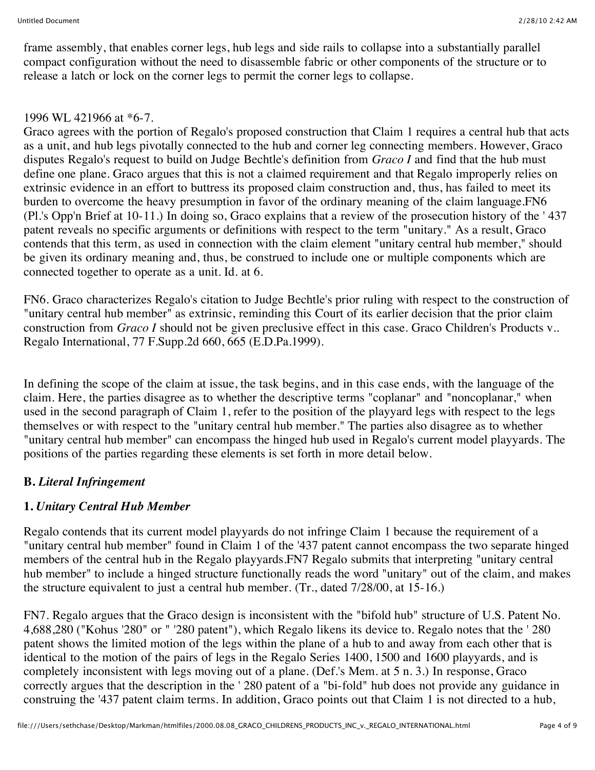frame assembly, that enables corner legs, hub legs and side rails to collapse into a substantially parallel compact configuration without the need to disassemble fabric or other components of the structure or to release a latch or lock on the corner legs to permit the corner legs to collapse.

### 1996 WL 421966 at \*6-7.

Graco agrees with the portion of Regalo's proposed construction that Claim 1 requires a central hub that acts as a unit, and hub legs pivotally connected to the hub and corner leg connecting members. However, Graco disputes Regalo's request to build on Judge Bechtle's definition from *Graco I* and find that the hub must define one plane. Graco argues that this is not a claimed requirement and that Regalo improperly relies on extrinsic evidence in an effort to buttress its proposed claim construction and, thus, has failed to meet its burden to overcome the heavy presumption in favor of the ordinary meaning of the claim language.FN6 (Pl.'s Opp'n Brief at 10-11.) In doing so, Graco explains that a review of the prosecution history of the ' 437 patent reveals no specific arguments or definitions with respect to the term "unitary." As a result, Graco contends that this term, as used in connection with the claim element "unitary central hub member," should be given its ordinary meaning and, thus, be construed to include one or multiple components which are connected together to operate as a unit. Id. at 6.

FN6. Graco characterizes Regalo's citation to Judge Bechtle's prior ruling with respect to the construction of "unitary central hub member" as extrinsic, reminding this Court of its earlier decision that the prior claim construction from *Graco I* should not be given preclusive effect in this case. Graco Children's Products v.. Regalo International, 77 F.Supp.2d 660, 665 (E.D.Pa.1999).

In defining the scope of the claim at issue, the task begins, and in this case ends, with the language of the claim. Here, the parties disagree as to whether the descriptive terms "coplanar" and "noncoplanar," when used in the second paragraph of Claim 1, refer to the position of the playyard legs with respect to the legs themselves or with respect to the "unitary central hub member." The parties also disagree as to whether "unitary central hub member" can encompass the hinged hub used in Regalo's current model playyards. The positions of the parties regarding these elements is set forth in more detail below.

# **B.** *Literal Infringement*

# **1.** *Unitary Central Hub Member*

Regalo contends that its current model playyards do not infringe Claim 1 because the requirement of a "unitary central hub member" found in Claim 1 of the '437 patent cannot encompass the two separate hinged members of the central hub in the Regalo playyards.FN7 Regalo submits that interpreting "unitary central hub member" to include a hinged structure functionally reads the word "unitary" out of the claim, and makes the structure equivalent to just a central hub member. (Tr., dated 7/28/00, at 15-16.)

FN7. Regalo argues that the Graco design is inconsistent with the "bifold hub" structure of U.S. Patent No. 4,688,280 ("Kohus '280" or " '280 patent"), which Regalo likens its device to. Regalo notes that the ' 280 patent shows the limited motion of the legs within the plane of a hub to and away from each other that is identical to the motion of the pairs of legs in the Regalo Series 1400, 1500 and 1600 playyards, and is completely inconsistent with legs moving out of a plane. (Def.'s Mem. at 5 n. 3.) In response, Graco correctly argues that the description in the ' 280 patent of a "bi-fold" hub does not provide any guidance in construing the '437 patent claim terms. In addition, Graco points out that Claim 1 is not directed to a hub,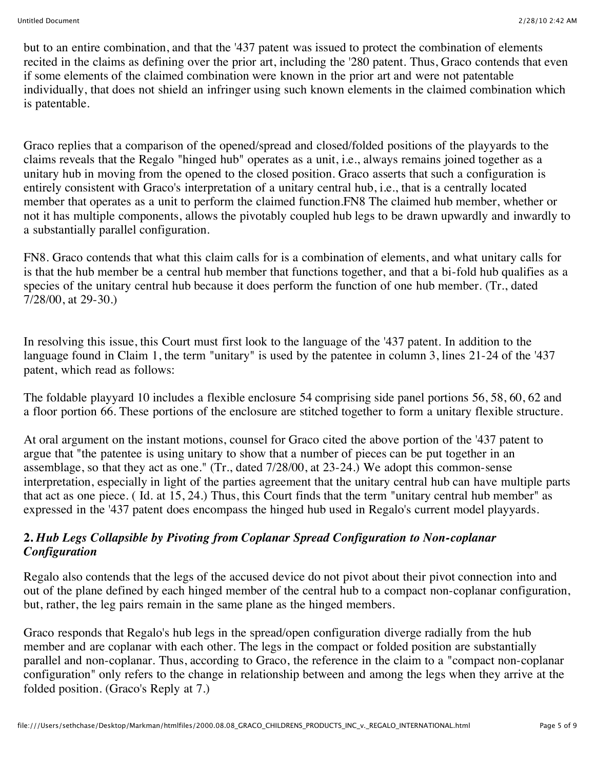but to an entire combination, and that the '437 patent was issued to protect the combination of elements recited in the claims as defining over the prior art, including the '280 patent. Thus, Graco contends that even if some elements of the claimed combination were known in the prior art and were not patentable individually, that does not shield an infringer using such known elements in the claimed combination which is patentable.

Graco replies that a comparison of the opened/spread and closed/folded positions of the playyards to the claims reveals that the Regalo "hinged hub" operates as a unit, i.e., always remains joined together as a unitary hub in moving from the opened to the closed position. Graco asserts that such a configuration is entirely consistent with Graco's interpretation of a unitary central hub, i.e., that is a centrally located member that operates as a unit to perform the claimed function.FN8 The claimed hub member, whether or not it has multiple components, allows the pivotably coupled hub legs to be drawn upwardly and inwardly to a substantially parallel configuration.

FN8. Graco contends that what this claim calls for is a combination of elements, and what unitary calls for is that the hub member be a central hub member that functions together, and that a bi-fold hub qualifies as a species of the unitary central hub because it does perform the function of one hub member. (Tr., dated 7/28/00, at 29-30.)

In resolving this issue, this Court must first look to the language of the '437 patent. In addition to the language found in Claim 1, the term "unitary" is used by the patentee in column 3, lines 21-24 of the '437 patent, which read as follows:

The foldable playyard 10 includes a flexible enclosure 54 comprising side panel portions 56, 58, 60, 62 and a floor portion 66. These portions of the enclosure are stitched together to form a unitary flexible structure.

At oral argument on the instant motions, counsel for Graco cited the above portion of the '437 patent to argue that "the patentee is using unitary to show that a number of pieces can be put together in an assemblage, so that they act as one." (Tr., dated 7/28/00, at 23-24.) We adopt this common-sense interpretation, especially in light of the parties agreement that the unitary central hub can have multiple parts that act as one piece. ( Id. at 15, 24.) Thus, this Court finds that the term "unitary central hub member" as expressed in the '437 patent does encompass the hinged hub used in Regalo's current model playyards.

#### **2.** *Hub Legs Collapsible by Pivoting from Coplanar Spread Configuration to Non-coplanar Configuration*

Regalo also contends that the legs of the accused device do not pivot about their pivot connection into and out of the plane defined by each hinged member of the central hub to a compact non-coplanar configuration, but, rather, the leg pairs remain in the same plane as the hinged members.

Graco responds that Regalo's hub legs in the spread/open configuration diverge radially from the hub member and are coplanar with each other. The legs in the compact or folded position are substantially parallel and non-coplanar. Thus, according to Graco, the reference in the claim to a "compact non-coplanar configuration" only refers to the change in relationship between and among the legs when they arrive at the folded position. (Graco's Reply at 7.)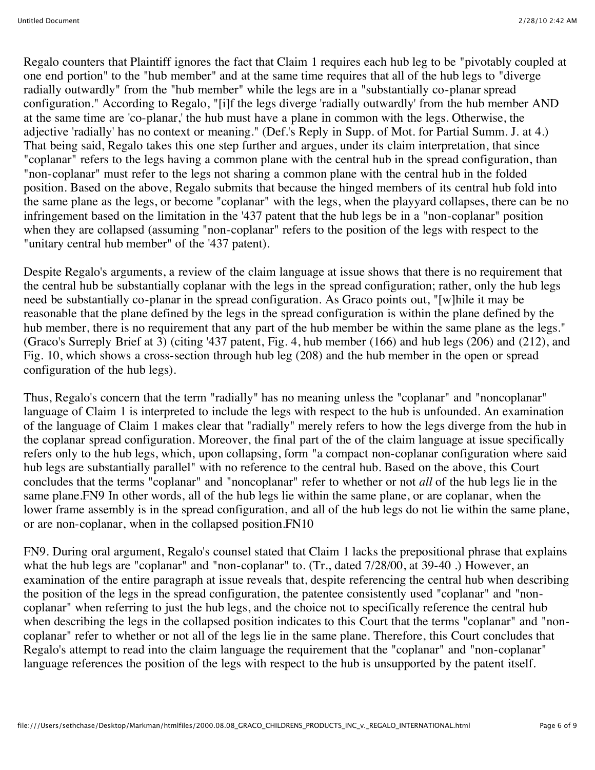Regalo counters that Plaintiff ignores the fact that Claim 1 requires each hub leg to be "pivotably coupled at one end portion" to the "hub member" and at the same time requires that all of the hub legs to "diverge radially outwardly" from the "hub member" while the legs are in a "substantially co-planar spread configuration." According to Regalo, "[i]f the legs diverge 'radially outwardly' from the hub member AND at the same time are 'co-planar,' the hub must have a plane in common with the legs. Otherwise, the adjective 'radially' has no context or meaning." (Def.'s Reply in Supp. of Mot. for Partial Summ. J. at 4.) That being said, Regalo takes this one step further and argues, under its claim interpretation, that since "coplanar" refers to the legs having a common plane with the central hub in the spread configuration, than "non-coplanar" must refer to the legs not sharing a common plane with the central hub in the folded position. Based on the above, Regalo submits that because the hinged members of its central hub fold into the same plane as the legs, or become "coplanar" with the legs, when the playyard collapses, there can be no infringement based on the limitation in the '437 patent that the hub legs be in a "non-coplanar" position when they are collapsed (assuming "non-coplanar" refers to the position of the legs with respect to the "unitary central hub member" of the '437 patent).

Despite Regalo's arguments, a review of the claim language at issue shows that there is no requirement that the central hub be substantially coplanar with the legs in the spread configuration; rather, only the hub legs need be substantially co-planar in the spread configuration. As Graco points out, "[w]hile it may be reasonable that the plane defined by the legs in the spread configuration is within the plane defined by the hub member, there is no requirement that any part of the hub member be within the same plane as the legs." (Graco's Surreply Brief at 3) (citing '437 patent, Fig. 4, hub member (166) and hub legs (206) and (212), and Fig. 10, which shows a cross-section through hub leg (208) and the hub member in the open or spread configuration of the hub legs).

Thus, Regalo's concern that the term "radially" has no meaning unless the "coplanar" and "noncoplanar" language of Claim 1 is interpreted to include the legs with respect to the hub is unfounded. An examination of the language of Claim 1 makes clear that "radially" merely refers to how the legs diverge from the hub in the coplanar spread configuration. Moreover, the final part of the of the claim language at issue specifically refers only to the hub legs, which, upon collapsing, form "a compact non-coplanar configuration where said hub legs are substantially parallel" with no reference to the central hub. Based on the above, this Court concludes that the terms "coplanar" and "noncoplanar" refer to whether or not *all* of the hub legs lie in the same plane.FN9 In other words, all of the hub legs lie within the same plane, or are coplanar, when the lower frame assembly is in the spread configuration, and all of the hub legs do not lie within the same plane, or are non-coplanar, when in the collapsed position.FN10

FN9. During oral argument, Regalo's counsel stated that Claim 1 lacks the prepositional phrase that explains what the hub legs are "coplanar" and "non-coplanar" to. (Tr., dated 7/28/00, at 39-40 .) However, an examination of the entire paragraph at issue reveals that, despite referencing the central hub when describing the position of the legs in the spread configuration, the patentee consistently used "coplanar" and "noncoplanar" when referring to just the hub legs, and the choice not to specifically reference the central hub when describing the legs in the collapsed position indicates to this Court that the terms "coplanar" and "noncoplanar" refer to whether or not all of the legs lie in the same plane. Therefore, this Court concludes that Regalo's attempt to read into the claim language the requirement that the "coplanar" and "non-coplanar" language references the position of the legs with respect to the hub is unsupported by the patent itself.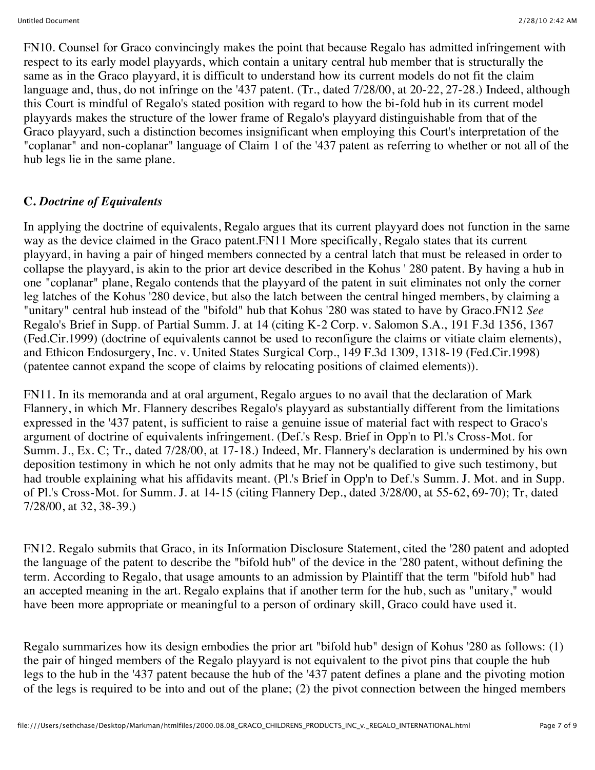FN10. Counsel for Graco convincingly makes the point that because Regalo has admitted infringement with respect to its early model playyards, which contain a unitary central hub member that is structurally the same as in the Graco playyard, it is difficult to understand how its current models do not fit the claim language and, thus, do not infringe on the '437 patent. (Tr., dated 7/28/00, at 20-22, 27-28.) Indeed, although this Court is mindful of Regalo's stated position with regard to how the bi-fold hub in its current model playyards makes the structure of the lower frame of Regalo's playyard distinguishable from that of the Graco playyard, such a distinction becomes insignificant when employing this Court's interpretation of the "coplanar" and non-coplanar" language of Claim 1 of the '437 patent as referring to whether or not all of the hub legs lie in the same plane.

### **C.** *Doctrine of Equivalents*

In applying the doctrine of equivalents, Regalo argues that its current playyard does not function in the same way as the device claimed in the Graco patent.FN11 More specifically, Regalo states that its current playyard, in having a pair of hinged members connected by a central latch that must be released in order to collapse the playyard, is akin to the prior art device described in the Kohus ' 280 patent. By having a hub in one "coplanar" plane, Regalo contends that the playyard of the patent in suit eliminates not only the corner leg latches of the Kohus '280 device, but also the latch between the central hinged members, by claiming a "unitary" central hub instead of the "bifold" hub that Kohus '280 was stated to have by Graco.FN12 *See* Regalo's Brief in Supp. of Partial Summ. J. at 14 (citing K-2 Corp. v. Salomon S.A., 191 F.3d 1356, 1367 (Fed.Cir.1999) (doctrine of equivalents cannot be used to reconfigure the claims or vitiate claim elements), and Ethicon Endosurgery, Inc. v. United States Surgical Corp., 149 F.3d 1309, 1318-19 (Fed.Cir.1998) (patentee cannot expand the scope of claims by relocating positions of claimed elements)).

FN11. In its memoranda and at oral argument, Regalo argues to no avail that the declaration of Mark Flannery, in which Mr. Flannery describes Regalo's playyard as substantially different from the limitations expressed in the '437 patent, is sufficient to raise a genuine issue of material fact with respect to Graco's argument of doctrine of equivalents infringement. (Def.'s Resp. Brief in Opp'n to Pl.'s Cross-Mot. for Summ. J., Ex. C; Tr., dated 7/28/00, at 17-18.) Indeed, Mr. Flannery's declaration is undermined by his own deposition testimony in which he not only admits that he may not be qualified to give such testimony, but had trouble explaining what his affidavits meant. (Pl.'s Brief in Opp'n to Def.'s Summ. J. Mot. and in Supp. of Pl.'s Cross-Mot. for Summ. J. at 14-15 (citing Flannery Dep., dated 3/28/00, at 55-62, 69-70); Tr, dated 7/28/00, at 32, 38-39.)

FN12. Regalo submits that Graco, in its Information Disclosure Statement, cited the '280 patent and adopted the language of the patent to describe the "bifold hub" of the device in the '280 patent, without defining the term. According to Regalo, that usage amounts to an admission by Plaintiff that the term "bifold hub" had an accepted meaning in the art. Regalo explains that if another term for the hub, such as "unitary," would have been more appropriate or meaningful to a person of ordinary skill, Graco could have used it.

Regalo summarizes how its design embodies the prior art "bifold hub" design of Kohus '280 as follows: (1) the pair of hinged members of the Regalo playyard is not equivalent to the pivot pins that couple the hub legs to the hub in the '437 patent because the hub of the '437 patent defines a plane and the pivoting motion of the legs is required to be into and out of the plane; (2) the pivot connection between the hinged members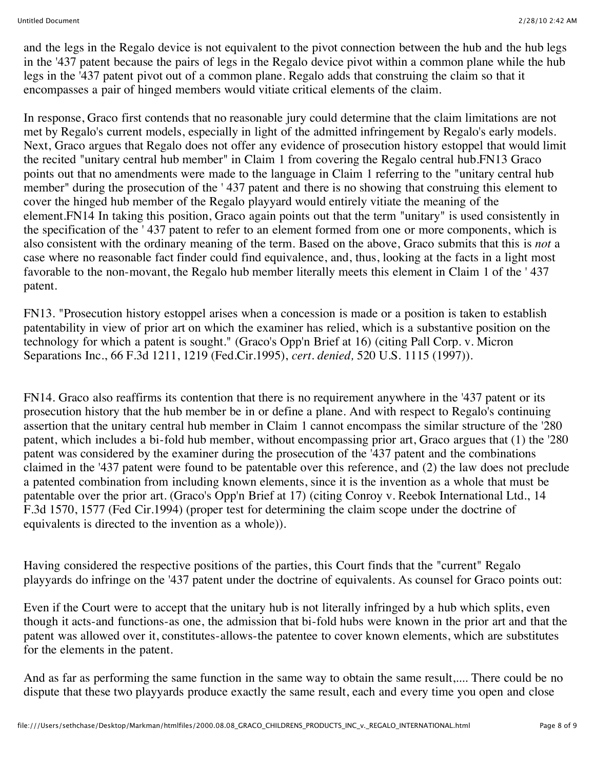and the legs in the Regalo device is not equivalent to the pivot connection between the hub and the hub legs in the '437 patent because the pairs of legs in the Regalo device pivot within a common plane while the hub legs in the '437 patent pivot out of a common plane. Regalo adds that construing the claim so that it encompasses a pair of hinged members would vitiate critical elements of the claim.

In response, Graco first contends that no reasonable jury could determine that the claim limitations are not met by Regalo's current models, especially in light of the admitted infringement by Regalo's early models. Next, Graco argues that Regalo does not offer any evidence of prosecution history estoppel that would limit the recited "unitary central hub member" in Claim 1 from covering the Regalo central hub.FN13 Graco points out that no amendments were made to the language in Claim 1 referring to the "unitary central hub member" during the prosecution of the ' 437 patent and there is no showing that construing this element to cover the hinged hub member of the Regalo playyard would entirely vitiate the meaning of the element.FN14 In taking this position, Graco again points out that the term "unitary" is used consistently in the specification of the ' 437 patent to refer to an element formed from one or more components, which is also consistent with the ordinary meaning of the term. Based on the above, Graco submits that this is *not* a case where no reasonable fact finder could find equivalence, and, thus, looking at the facts in a light most favorable to the non-movant, the Regalo hub member literally meets this element in Claim 1 of the ' 437 patent.

FN13. "Prosecution history estoppel arises when a concession is made or a position is taken to establish patentability in view of prior art on which the examiner has relied, which is a substantive position on the technology for which a patent is sought." (Graco's Opp'n Brief at 16) (citing Pall Corp. v. Micron Separations Inc., 66 F.3d 1211, 1219 (Fed.Cir.1995), *cert. denied,* 520 U.S. 1115 (1997)).

FN14. Graco also reaffirms its contention that there is no requirement anywhere in the '437 patent or its prosecution history that the hub member be in or define a plane. And with respect to Regalo's continuing assertion that the unitary central hub member in Claim 1 cannot encompass the similar structure of the '280 patent, which includes a bi-fold hub member, without encompassing prior art, Graco argues that (1) the '280 patent was considered by the examiner during the prosecution of the '437 patent and the combinations claimed in the '437 patent were found to be patentable over this reference, and (2) the law does not preclude a patented combination from including known elements, since it is the invention as a whole that must be patentable over the prior art. (Graco's Opp'n Brief at 17) (citing Conroy v. Reebok International Ltd., 14 F.3d 1570, 1577 (Fed Cir.1994) (proper test for determining the claim scope under the doctrine of equivalents is directed to the invention as a whole)).

Having considered the respective positions of the parties, this Court finds that the "current" Regalo playyards do infringe on the '437 patent under the doctrine of equivalents. As counsel for Graco points out:

Even if the Court were to accept that the unitary hub is not literally infringed by a hub which splits, even though it acts-and functions-as one, the admission that bi-fold hubs were known in the prior art and that the patent was allowed over it, constitutes-allows-the patentee to cover known elements, which are substitutes for the elements in the patent.

And as far as performing the same function in the same way to obtain the same result,.... There could be no dispute that these two playyards produce exactly the same result, each and every time you open and close